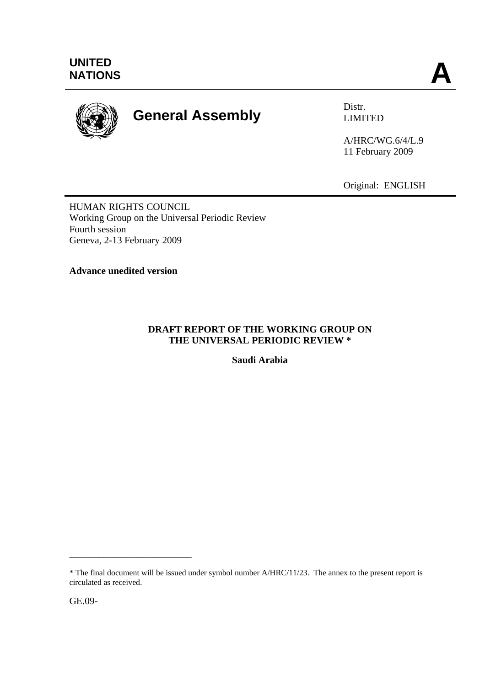

# **General Assembly Distra Distra Distra Distribution Control District Control District Control District Control Control District Control Control District Control Control District Control Control District Control District Co**

LIMITED

A/HRC/WG.6/4/L.9 11 February 2009

Original: ENGLISH

HUMAN RIGHTS COUNCIL Working Group on the Universal Periodic Review Fourth session Geneva, 2-13 February 2009

**Advance unedited version**

## **DRAFT REPORT OF THE WORKING GROUP ON THE UNIVERSAL PERIODIC REVIEW \***

**Saudi Arabia** 

\_\_\_\_\_\_\_\_\_\_\_\_\_\_\_\_\_\_\_\_\_\_\_\_\_

<sup>\*</sup> The final document will be issued under symbol number A/HRC/11/23. The annex to the present report is circulated as received.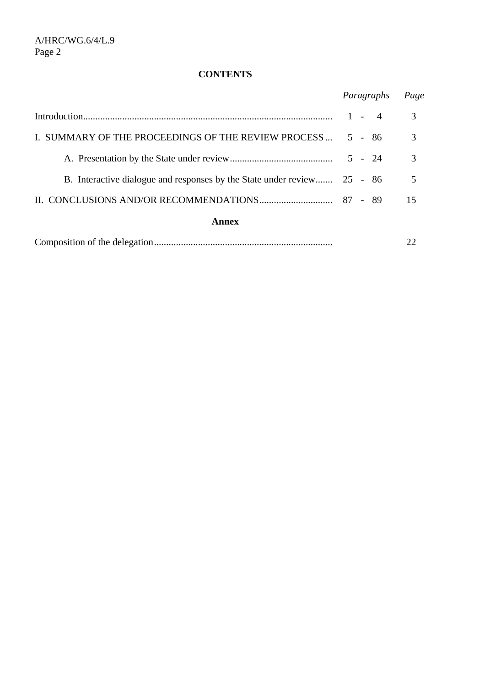# **CONTENTS**

|                                                                         | Paragraphs |  |          | Page |
|-------------------------------------------------------------------------|------------|--|----------|------|
|                                                                         |            |  | $1 - 4$  | 3    |
| I. SUMMARY OF THE PROCEEDINGS OF THE REVIEW PROCESS                     |            |  | $5 - 86$ | 3    |
|                                                                         |            |  | $5 - 24$ | 3    |
| B. Interactive dialogue and responses by the State under review 25 - 86 |            |  |          | 5    |
|                                                                         |            |  |          | 15   |
| <b>Annex</b>                                                            |            |  |          |      |
|                                                                         |            |  |          |      |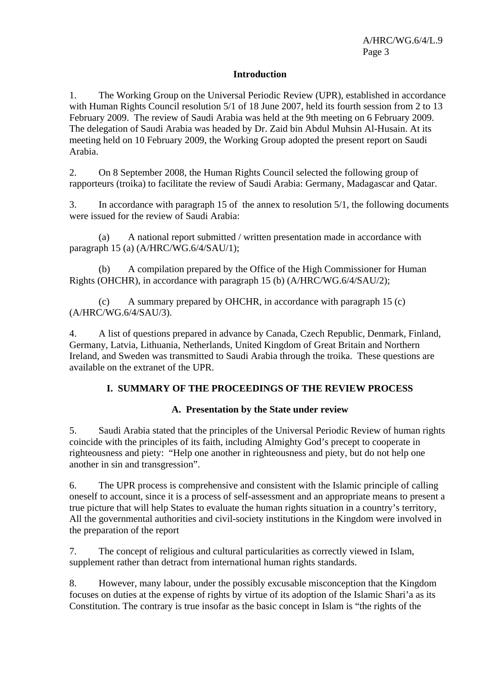#### **Introduction**

1. The Working Group on the Universal Periodic Review (UPR), established in accordance with Human Rights Council resolution 5/1 of 18 June 2007, held its fourth session from 2 to 13 February 2009. The review of Saudi Arabia was held at the 9th meeting on 6 February 2009. The delegation of Saudi Arabia was headed by Dr. Zaid bin Abdul Muhsin Al-Husain. At its meeting held on 10 February 2009, the Working Group adopted the present report on Saudi Arabia.

2. On 8 September 2008, the Human Rights Council selected the following group of rapporteurs (troika) to facilitate the review of Saudi Arabia: Germany, Madagascar and Qatar.

3. In accordance with paragraph 15 of the annex to resolution 5/1, the following documents were issued for the review of Saudi Arabia:

 (a) A national report submitted / written presentation made in accordance with paragraph 15 (a) (A/HRC/WG.6/4/SAU/1);

 (b) A compilation prepared by the Office of the High Commissioner for Human Rights (OHCHR), in accordance with paragraph 15 (b) (A/HRC/WG.6/4/SAU/2);

 (c) A summary prepared by OHCHR, in accordance with paragraph 15 (c) (A/HRC/WG.6/4/SAU/3).

4. A list of questions prepared in advance by Canada, Czech Republic, Denmark, Finland, Germany, Latvia, Lithuania, Netherlands, United Kingdom of Great Britain and Northern Ireland, and Sweden was transmitted to Saudi Arabia through the troika. These questions are available on the extranet of the UPR.

#### **I. SUMMARY OF THE PROCEEDINGS OF THE REVIEW PROCESS**

### **A. Presentation by the State under review**

5. Saudi Arabia stated that the principles of the Universal Periodic Review of human rights coincide with the principles of its faith, including Almighty God's precept to cooperate in righteousness and piety: "Help one another in righteousness and piety, but do not help one another in sin and transgression".

6. The UPR process is comprehensive and consistent with the Islamic principle of calling oneself to account, since it is a process of self-assessment and an appropriate means to present a true picture that will help States to evaluate the human rights situation in a country's territory, All the governmental authorities and civil-society institutions in the Kingdom were involved in the preparation of the report

7. The concept of religious and cultural particularities as correctly viewed in Islam, supplement rather than detract from international human rights standards.

8. However, many labour, under the possibly excusable misconception that the Kingdom focuses on duties at the expense of rights by virtue of its adoption of the Islamic Shari'a as its Constitution. The contrary is true insofar as the basic concept in Islam is "the rights of the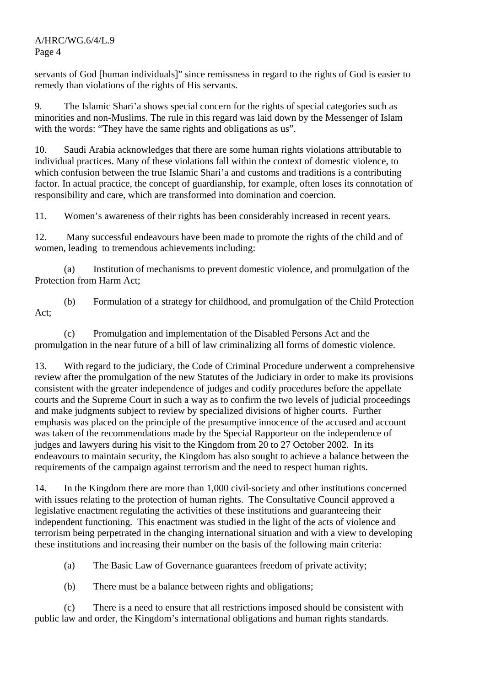servants of God [human individuals]" since remissness in regard to the rights of God is easier to remedy than violations of the rights of His servants.

9. The Islamic Shari'a shows special concern for the rights of special categories such as minorities and non-Muslims. The rule in this regard was laid down by the Messenger of Islam with the words: "They have the same rights and obligations as us".

10. Saudi Arabia acknowledges that there are some human rights violations attributable to individual practices. Many of these violations fall within the context of domestic violence, to which confusion between the true Islamic Shari'a and customs and traditions is a contributing factor. In actual practice, the concept of guardianship, for example, often loses its connotation of responsibility and care, which are transformed into domination and coercion.

11. Women's awareness of their rights has been considerably increased in recent years.

12. Many successful endeavours have been made to promote the rights of the child and of women, leading to tremendous achievements including:

 (a) Institution of mechanisms to prevent domestic violence, and promulgation of the Protection from Harm Act;

 (b) Formulation of a strategy for childhood, and promulgation of the Child Protection Act;

 (c) Promulgation and implementation of the Disabled Persons Act and the promulgation in the near future of a bill of law criminalizing all forms of domestic violence.

13. With regard to the judiciary, the Code of Criminal Procedure underwent a comprehensive review after the promulgation of the new Statutes of the Judiciary in order to make its provisions consistent with the greater independence of judges and codify procedures before the appellate courts and the Supreme Court in such a way as to confirm the two levels of judicial proceedings and make judgments subject to review by specialized divisions of higher courts. Further emphasis was placed on the principle of the presumptive innocence of the accused and account was taken of the recommendations made by the Special Rapporteur on the independence of judges and lawyers during his visit to the Kingdom from 20 to 27 October 2002. In its endeavours to maintain security, the Kingdom has also sought to achieve a balance between the requirements of the campaign against terrorism and the need to respect human rights.

14. In the Kingdom there are more than 1,000 civil-society and other institutions concerned with issues relating to the protection of human rights. The Consultative Council approved a legislative enactment regulating the activities of these institutions and guaranteeing their independent functioning. This enactment was studied in the light of the acts of violence and terrorism being perpetrated in the changing international situation and with a view to developing these institutions and increasing their number on the basis of the following main criteria:

(a) The Basic Law of Governance guarantees freedom of private activity;

(b) There must be a balance between rights and obligations;

 (c) There is a need to ensure that all restrictions imposed should be consistent with public law and order, the Kingdom's international obligations and human rights standards.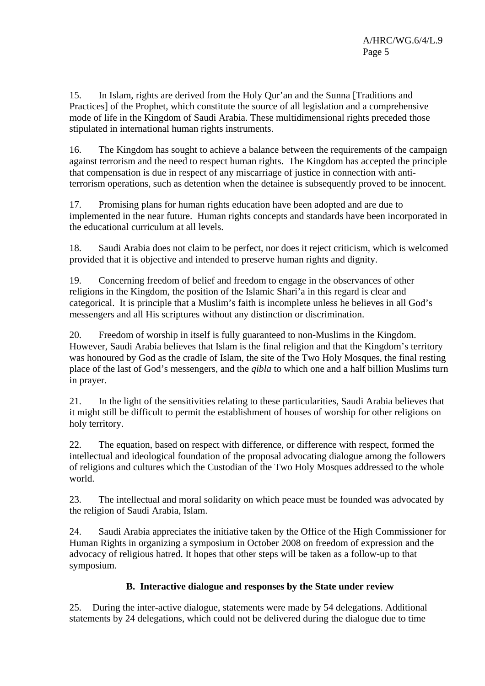15. In Islam, rights are derived from the Holy Qur'an and the Sunna [Traditions and Practices] of the Prophet, which constitute the source of all legislation and a comprehensive mode of life in the Kingdom of Saudi Arabia. These multidimensional rights preceded those stipulated in international human rights instruments.

16. The Kingdom has sought to achieve a balance between the requirements of the campaign against terrorism and the need to respect human rights. The Kingdom has accepted the principle that compensation is due in respect of any miscarriage of justice in connection with antiterrorism operations, such as detention when the detainee is subsequently proved to be innocent.

17. Promising plans for human rights education have been adopted and are due to implemented in the near future. Human rights concepts and standards have been incorporated in the educational curriculum at all levels.

18. Saudi Arabia does not claim to be perfect, nor does it reject criticism, which is welcomed provided that it is objective and intended to preserve human rights and dignity.

19. Concerning freedom of belief and freedom to engage in the observances of other religions in the Kingdom, the position of the Islamic Shari'a in this regard is clear and categorical. It is principle that a Muslim's faith is incomplete unless he believes in all God's messengers and all His scriptures without any distinction or discrimination.

20. Freedom of worship in itself is fully guaranteed to non-Muslims in the Kingdom. However, Saudi Arabia believes that Islam is the final religion and that the Kingdom's territory was honoured by God as the cradle of Islam, the site of the Two Holy Mosques, the final resting place of the last of God's messengers, and the *qibla* to which one and a half billion Muslims turn in prayer.

21. In the light of the sensitivities relating to these particularities, Saudi Arabia believes that it might still be difficult to permit the establishment of houses of worship for other religions on holy territory.

22. The equation, based on respect with difference, or difference with respect, formed the intellectual and ideological foundation of the proposal advocating dialogue among the followers of religions and cultures which the Custodian of the Two Holy Mosques addressed to the whole world.

23. The intellectual and moral solidarity on which peace must be founded was advocated by the religion of Saudi Arabia, Islam.

24. Saudi Arabia appreciates the initiative taken by the Office of the High Commissioner for Human Rights in organizing a symposium in October 2008 on freedom of expression and the advocacy of religious hatred. It hopes that other steps will be taken as a follow-up to that symposium.

### **B. Interactive dialogue and responses by the State under review**

25. During the inter-active dialogue, statements were made by 54 delegations. Additional statements by 24 delegations, which could not be delivered during the dialogue due to time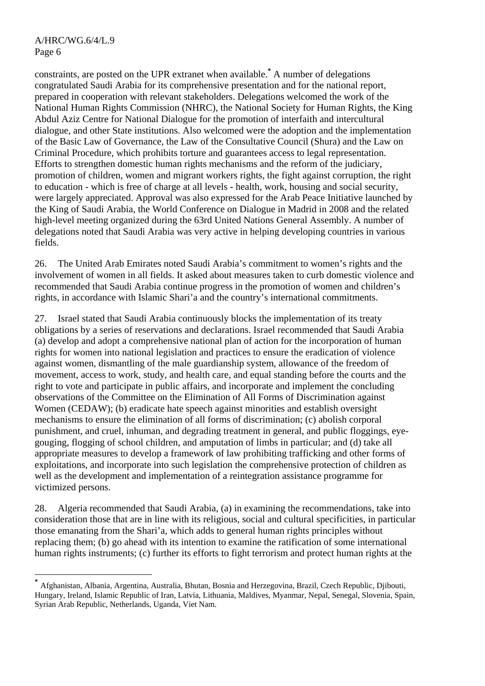$\overline{a}$ 

constraints, are posted on the UPR extranet when available.<sup>\*</sup> A number of delegations congratulated Saudi Arabia for its comprehensive presentation and for the national report, prepared in cooperation with relevant stakeholders. Delegations welcomed the work of the National Human Rights Commission (NHRC), the National Society for Human Rights, the King Abdul Aziz Centre for National Dialogue for the promotion of interfaith and intercultural dialogue, and other State institutions. Also welcomed were the adoption and the implementation of the Basic Law of Governance, the Law of the Consultative Council (Shura) and the Law on Criminal Procedure, which prohibits torture and guarantees access to legal representation. Efforts to strengthen domestic human rights mechanisms and the reform of the judiciary, promotion of children, women and migrant workers rights, the fight against corruption, the right to education - which is free of charge at all levels - health, work, housing and social security, were largely appreciated. Approval was also expressed for the Arab Peace Initiative launched by the King of Saudi Arabia, the World Conference on Dialogue in Madrid in 2008 and the related high-level meeting organized during the 63rd United Nations General Assembly. A number of delegations noted that Saudi Arabia was very active in helping developing countries in various fields.

26. The United Arab Emirates noted Saudi Arabia's commitment to women's rights and the involvement of women in all fields. It asked about measures taken to curb domestic violence and recommended that Saudi Arabia continue progress in the promotion of women and children's rights, in accordance with Islamic Shari'a and the country's international commitments.

27. Israel stated that Saudi Arabia continuously blocks the implementation of its treaty obligations by a series of reservations and declarations. Israel recommended that Saudi Arabia (a) develop and adopt a comprehensive national plan of action for the incorporation of human rights for women into national legislation and practices to ensure the eradication of violence against women, dismantling of the male guardianship system, allowance of the freedom of movement, access to work, study, and health care, and equal standing before the courts and the right to vote and participate in public affairs, and incorporate and implement the concluding observations of the Committee on the Elimination of All Forms of Discrimination against Women (CEDAW); (b) eradicate hate speech against minorities and establish oversight mechanisms to ensure the elimination of all forms of discrimination; (c) abolish corporal punishment, and cruel, inhuman, and degrading treatment in general, and public floggings, eyegouging, flogging of school children, and amputation of limbs in particular; and (d) take all appropriate measures to develop a framework of law prohibiting trafficking and other forms of exploitations, and incorporate into such legislation the comprehensive protection of children as well as the development and implementation of a reintegration assistance programme for victimized persons.

28. Algeria recommended that Saudi Arabia, (a) in examining the recommendations, take into consideration those that are in line with its religious, social and cultural specificities, in particular those emanating from the Shari'a, which adds to general human rights principles without replacing them; (b) go ahead with its intention to examine the ratification of some international human rights instruments; (c) further its efforts to fight terrorism and protect human rights at the

**<sup>\*</sup>** Afghanistan, Albania, Argentina, Australia, Bhutan, Bosnia and Herzegovina, Brazil, Czech Republic, Djibouti, Hungary, Ireland, Islamic Republic of Iran, Latvia, Lithuania, Maldives, Myanmar, Nepal, Senegal, Slovenia, Spain, Syrian Arab Republic, Netherlands, Uganda, Viet Nam.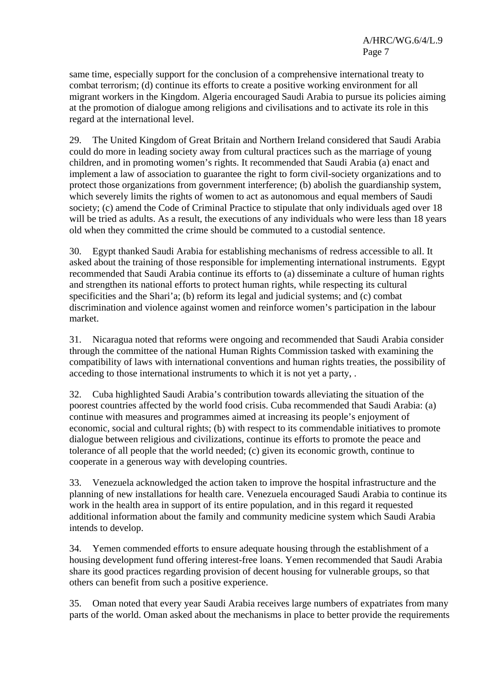same time, especially support for the conclusion of a comprehensive international treaty to combat terrorism; (d) continue its efforts to create a positive working environment for all migrant workers in the Kingdom. Algeria encouraged Saudi Arabia to pursue its policies aiming at the promotion of dialogue among religions and civilisations and to activate its role in this regard at the international level.

29. The United Kingdom of Great Britain and Northern Ireland considered that Saudi Arabia could do more in leading society away from cultural practices such as the marriage of young children, and in promoting women's rights. It recommended that Saudi Arabia (a) enact and implement a law of association to guarantee the right to form civil-society organizations and to protect those organizations from government interference; (b) abolish the guardianship system, which severely limits the rights of women to act as autonomous and equal members of Saudi society; (c) amend the Code of Criminal Practice to stipulate that only individuals aged over 18 will be tried as adults. As a result, the executions of any individuals who were less than 18 years old when they committed the crime should be commuted to a custodial sentence.

30. Egypt thanked Saudi Arabia for establishing mechanisms of redress accessible to all. It asked about the training of those responsible for implementing international instruments. Egypt recommended that Saudi Arabia continue its efforts to (a) disseminate a culture of human rights and strengthen its national efforts to protect human rights, while respecting its cultural specificities and the Shari'a; (b) reform its legal and judicial systems; and (c) combat discrimination and violence against women and reinforce women's participation in the labour market.

31. Nicaragua noted that reforms were ongoing and recommended that Saudi Arabia consider through the committee of the national Human Rights Commission tasked with examining the compatibility of laws with international conventions and human rights treaties, the possibility of acceding to those international instruments to which it is not yet a party, .

32. Cuba highlighted Saudi Arabia's contribution towards alleviating the situation of the poorest countries affected by the world food crisis. Cuba recommended that Saudi Arabia: (a) continue with measures and programmes aimed at increasing its people's enjoyment of economic, social and cultural rights; (b) with respect to its commendable initiatives to promote dialogue between religious and civilizations, continue its efforts to promote the peace and tolerance of all people that the world needed; (c) given its economic growth, continue to cooperate in a generous way with developing countries.

33. Venezuela acknowledged the action taken to improve the hospital infrastructure and the planning of new installations for health care. Venezuela encouraged Saudi Arabia to continue its work in the health area in support of its entire population, and in this regard it requested additional information about the family and community medicine system which Saudi Arabia intends to develop.

34. Yemen commended efforts to ensure adequate housing through the establishment of a housing development fund offering interest-free loans. Yemen recommended that Saudi Arabia share its good practices regarding provision of decent housing for vulnerable groups, so that others can benefit from such a positive experience.

35. Oman noted that every year Saudi Arabia receives large numbers of expatriates from many parts of the world. Oman asked about the mechanisms in place to better provide the requirements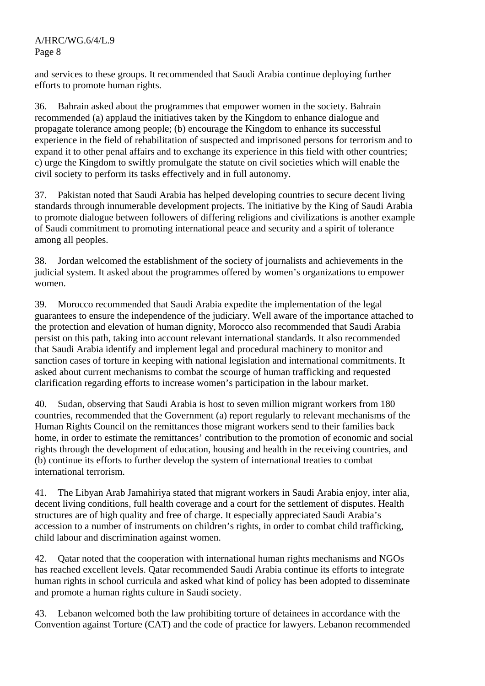and services to these groups. It recommended that Saudi Arabia continue deploying further efforts to promote human rights.

36. Bahrain asked about the programmes that empower women in the society. Bahrain recommended (a) applaud the initiatives taken by the Kingdom to enhance dialogue and propagate tolerance among people; (b) encourage the Kingdom to enhance its successful experience in the field of rehabilitation of suspected and imprisoned persons for terrorism and to expand it to other penal affairs and to exchange its experience in this field with other countries; c) urge the Kingdom to swiftly promulgate the statute on civil societies which will enable the civil society to perform its tasks effectively and in full autonomy.

37. Pakistan noted that Saudi Arabia has helped developing countries to secure decent living standards through innumerable development projects. The initiative by the King of Saudi Arabia to promote dialogue between followers of differing religions and civilizations is another example of Saudi commitment to promoting international peace and security and a spirit of tolerance among all peoples.

38. Jordan welcomed the establishment of the society of journalists and achievements in the judicial system. It asked about the programmes offered by women's organizations to empower women.

39. Morocco recommended that Saudi Arabia expedite the implementation of the legal guarantees to ensure the independence of the judiciary. Well aware of the importance attached to the protection and elevation of human dignity, Morocco also recommended that Saudi Arabia persist on this path, taking into account relevant international standards. It also recommended that Saudi Arabia identify and implement legal and procedural machinery to monitor and sanction cases of torture in keeping with national legislation and international commitments. It asked about current mechanisms to combat the scourge of human trafficking and requested clarification regarding efforts to increase women's participation in the labour market.

40. Sudan, observing that Saudi Arabia is host to seven million migrant workers from 180 countries, recommended that the Government (a) report regularly to relevant mechanisms of the Human Rights Council on the remittances those migrant workers send to their families back home, in order to estimate the remittances' contribution to the promotion of economic and social rights through the development of education, housing and health in the receiving countries, and (b) continue its efforts to further develop the system of international treaties to combat international terrorism.

41. The Libyan Arab Jamahiriya stated that migrant workers in Saudi Arabia enjoy, inter alia, decent living conditions, full health coverage and a court for the settlement of disputes. Health structures are of high quality and free of charge. It especially appreciated Saudi Arabia's accession to a number of instruments on children's rights, in order to combat child trafficking, child labour and discrimination against women.

42. Qatar noted that the cooperation with international human rights mechanisms and NGOs has reached excellent levels. Qatar recommended Saudi Arabia continue its efforts to integrate human rights in school curricula and asked what kind of policy has been adopted to disseminate and promote a human rights culture in Saudi society.

43. Lebanon welcomed both the law prohibiting torture of detainees in accordance with the Convention against Torture (CAT) and the code of practice for lawyers. Lebanon recommended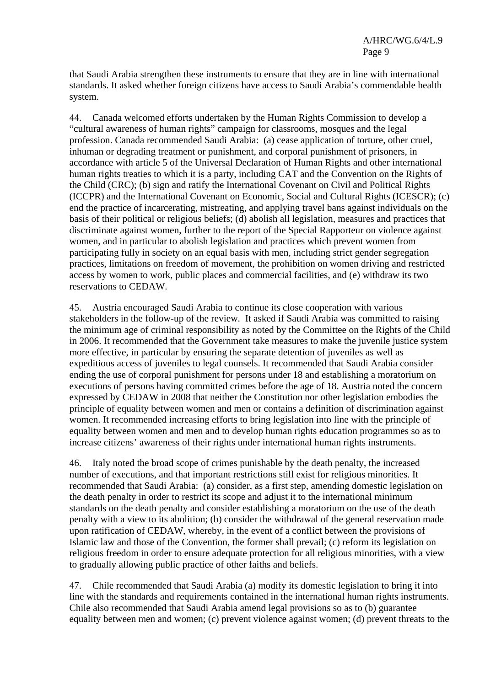that Saudi Arabia strengthen these instruments to ensure that they are in line with international standards. It asked whether foreign citizens have access to Saudi Arabia's commendable health system.

44. Canada welcomed efforts undertaken by the Human Rights Commission to develop a "cultural awareness of human rights" campaign for classrooms, mosques and the legal profession. Canada recommended Saudi Arabia: (a) cease application of torture, other cruel, inhuman or degrading treatment or punishment, and corporal punishment of prisoners, in accordance with article 5 of the Universal Declaration of Human Rights and other international human rights treaties to which it is a party, including CAT and the Convention on the Rights of the Child (CRC); (b) sign and ratify the International Covenant on Civil and Political Rights (ICCPR) and the International Covenant on Economic, Social and Cultural Rights (ICESCR); (c) end the practice of incarcerating, mistreating, and applying travel bans against individuals on the basis of their political or religious beliefs; (d) abolish all legislation, measures and practices that discriminate against women, further to the report of the Special Rapporteur on violence against women, and in particular to abolish legislation and practices which prevent women from participating fully in society on an equal basis with men, including strict gender segregation practices, limitations on freedom of movement, the prohibition on women driving and restricted access by women to work, public places and commercial facilities, and (e) withdraw its two reservations to CEDAW.

45. Austria encouraged Saudi Arabia to continue its close cooperation with various stakeholders in the follow-up of the review. It asked if Saudi Arabia was committed to raising the minimum age of criminal responsibility as noted by the Committee on the Rights of the Child in 2006. It recommended that the Government take measures to make the juvenile justice system more effective, in particular by ensuring the separate detention of juveniles as well as expeditious access of juveniles to legal counsels. It recommended that Saudi Arabia consider ending the use of corporal punishment for persons under 18 and establishing a moratorium on executions of persons having committed crimes before the age of 18. Austria noted the concern expressed by CEDAW in 2008 that neither the Constitution nor other legislation embodies the principle of equality between women and men or contains a definition of discrimination against women. It recommended increasing efforts to bring legislation into line with the principle of equality between women and men and to develop human rights education programmes so as to increase citizens' awareness of their rights under international human rights instruments.

46. Italy noted the broad scope of crimes punishable by the death penalty, the increased number of executions, and that important restrictions still exist for religious minorities. It recommended that Saudi Arabia: (a) consider, as a first step, amending domestic legislation on the death penalty in order to restrict its scope and adjust it to the international minimum standards on the death penalty and consider establishing a moratorium on the use of the death penalty with a view to its abolition; (b) consider the withdrawal of the general reservation made upon ratification of CEDAW, whereby, in the event of a conflict between the provisions of Islamic law and those of the Convention, the former shall prevail; (c) reform its legislation on religious freedom in order to ensure adequate protection for all religious minorities, with a view to gradually allowing public practice of other faiths and beliefs.

47. Chile recommended that Saudi Arabia (a) modify its domestic legislation to bring it into line with the standards and requirements contained in the international human rights instruments. Chile also recommended that Saudi Arabia amend legal provisions so as to (b) guarantee equality between men and women; (c) prevent violence against women; (d) prevent threats to the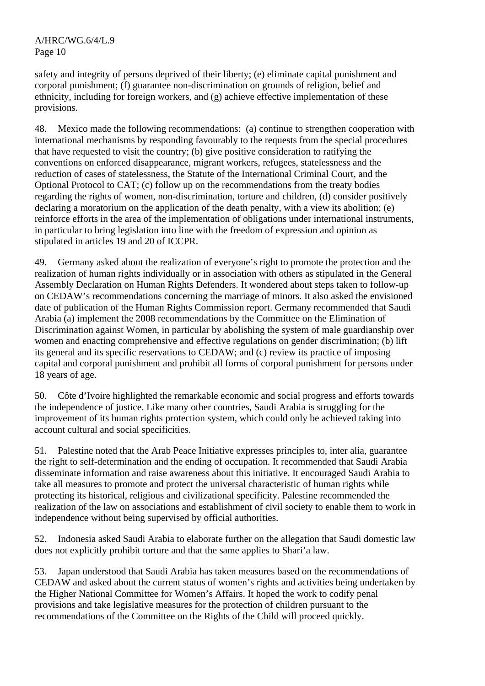safety and integrity of persons deprived of their liberty; (e) eliminate capital punishment and corporal punishment; (f) guarantee non-discrimination on grounds of religion, belief and ethnicity, including for foreign workers, and (g) achieve effective implementation of these provisions.

48. Mexico made the following recommendations: (a) continue to strengthen cooperation with international mechanisms by responding favourably to the requests from the special procedures that have requested to visit the country; (b) give positive consideration to ratifying the conventions on enforced disappearance, migrant workers, refugees, statelessness and the reduction of cases of statelessness, the Statute of the International Criminal Court, and the Optional Protocol to CAT; (c) follow up on the recommendations from the treaty bodies regarding the rights of women, non-discrimination, torture and children, (d) consider positively declaring a moratorium on the application of the death penalty, with a view its abolition; (e) reinforce efforts in the area of the implementation of obligations under international instruments, in particular to bring legislation into line with the freedom of expression and opinion as stipulated in articles 19 and 20 of ICCPR.

49. Germany asked about the realization of everyone's right to promote the protection and the realization of human rights individually or in association with others as stipulated in the General Assembly Declaration on Human Rights Defenders. It wondered about steps taken to follow-up on CEDAW's recommendations concerning the marriage of minors. It also asked the envisioned date of publication of the Human Rights Commission report. Germany recommended that Saudi Arabia (a) implement the 2008 recommendations by the Committee on the Elimination of Discrimination against Women, in particular by abolishing the system of male guardianship over women and enacting comprehensive and effective regulations on gender discrimination; (b) lift its general and its specific reservations to CEDAW; and (c) review its practice of imposing capital and corporal punishment and prohibit all forms of corporal punishment for persons under 18 years of age.

50. Côte d'Ivoire highlighted the remarkable economic and social progress and efforts towards the independence of justice. Like many other countries, Saudi Arabia is struggling for the improvement of its human rights protection system, which could only be achieved taking into account cultural and social specificities.

51. Palestine noted that the Arab Peace Initiative expresses principles to, inter alia, guarantee the right to self-determination and the ending of occupation. It recommended that Saudi Arabia disseminate information and raise awareness about this initiative. It encouraged Saudi Arabia to take all measures to promote and protect the universal characteristic of human rights while protecting its historical, religious and civilizational specificity. Palestine recommended the realization of the law on associations and establishment of civil society to enable them to work in independence without being supervised by official authorities.

52. Indonesia asked Saudi Arabia to elaborate further on the allegation that Saudi domestic law does not explicitly prohibit torture and that the same applies to Shari'a law.

53. Japan understood that Saudi Arabia has taken measures based on the recommendations of CEDAW and asked about the current status of women's rights and activities being undertaken by the Higher National Committee for Women's Affairs. It hoped the work to codify penal provisions and take legislative measures for the protection of children pursuant to the recommendations of the Committee on the Rights of the Child will proceed quickly.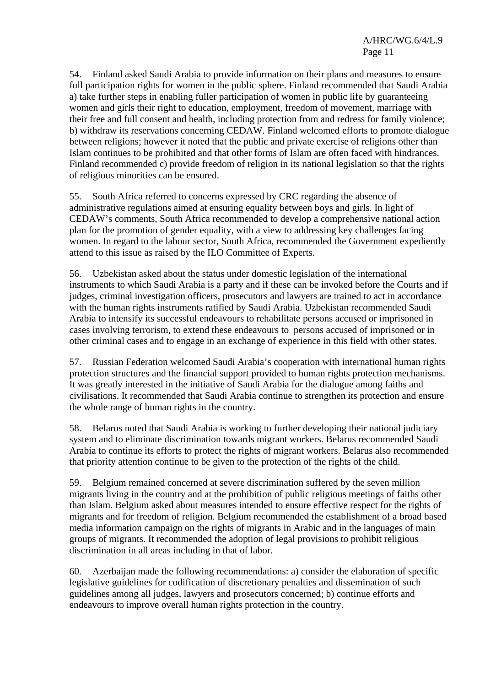54. Finland asked Saudi Arabia to provide information on their plans and measures to ensure full participation rights for women in the public sphere. Finland recommended that Saudi Arabia a) take further steps in enabling fuller participation of women in public life by guaranteeing women and girls their right to education, employment, freedom of movement, marriage with their free and full consent and health, including protection from and redress for family violence; b) withdraw its reservations concerning CEDAW. Finland welcomed efforts to promote dialogue between religions; however it noted that the public and private exercise of religions other than Islam continues to be prohibited and that other forms of Islam are often faced with hindrances. Finland recommended c) provide freedom of religion in its national legislation so that the rights of religious minorities can be ensured.

55. South Africa referred to concerns expressed by CRC regarding the absence of administrative regulations aimed at ensuring equality between boys and girls. In light of CEDAW's comments, South Africa recommended to develop a comprehensive national action plan for the promotion of gender equality, with a view to addressing key challenges facing women. In regard to the labour sector, South Africa, recommended the Government expediently attend to this issue as raised by the ILO Committee of Experts.

56. Uzbekistan asked about the status under domestic legislation of the international instruments to which Saudi Arabia is a party and if these can be invoked before the Courts and if judges, criminal investigation officers, prosecutors and lawyers are trained to act in accordance with the human rights instruments ratified by Saudi Arabia. Uzbekistan recommended Saudi Arabia to intensify its successful endeavours to rehabilitate persons accused or imprisoned in cases involving terrorism, to extend these endeavours to persons accused of imprisoned or in other criminal cases and to engage in an exchange of experience in this field with other states.

57. Russian Federation welcomed Saudi Arabia's cooperation with international human rights protection structures and the financial support provided to human rights protection mechanisms. It was greatly interested in the initiative of Saudi Arabia for the dialogue among faiths and civilisations. It recommended that Saudi Arabia continue to strengthen its protection and ensure the whole range of human rights in the country.

58. Belarus noted that Saudi Arabia is working to further developing their national judiciary system and to eliminate discrimination towards migrant workers. Belarus recommended Saudi Arabia to continue its efforts to protect the rights of migrant workers. Belarus also recommended that priority attention continue to be given to the protection of the rights of the child.

59. Belgium remained concerned at severe discrimination suffered by the seven million migrants living in the country and at the prohibition of public religious meetings of faiths other than Islam. Belgium asked about measures intended to ensure effective respect for the rights of migrants and for freedom of religion. Belgium recommended the establishment of a broad based media information campaign on the rights of migrants in Arabic and in the languages of main groups of migrants. It recommended the adoption of legal provisions to prohibit religious discrimination in all areas including in that of labor.

60. Azerbaijan made the following recommendations: a) consider the elaboration of specific legislative guidelines for codification of discretionary penalties and dissemination of such guidelines among all judges, lawyers and prosecutors concerned; b) continue efforts and endeavours to improve overall human rights protection in the country.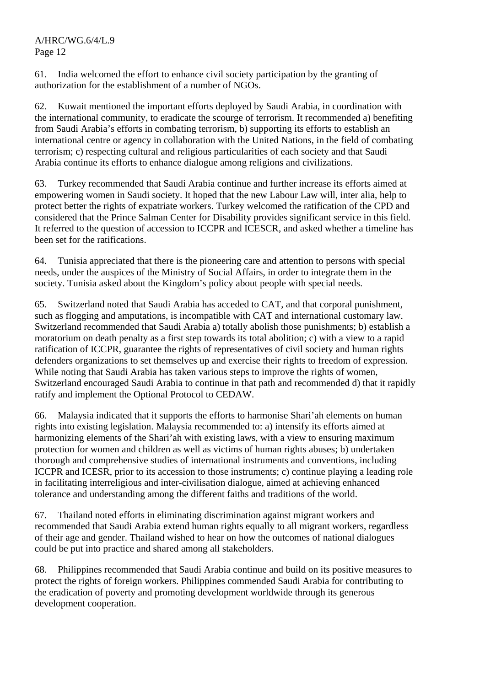61. India welcomed the effort to enhance civil society participation by the granting of authorization for the establishment of a number of NGOs.

62. Kuwait mentioned the important efforts deployed by Saudi Arabia, in coordination with the international community, to eradicate the scourge of terrorism. It recommended a) benefiting from Saudi Arabia's efforts in combating terrorism, b) supporting its efforts to establish an international centre or agency in collaboration with the United Nations, in the field of combating terrorism; c) respecting cultural and religious particularities of each society and that Saudi Arabia continue its efforts to enhance dialogue among religions and civilizations.

63. Turkey recommended that Saudi Arabia continue and further increase its efforts aimed at empowering women in Saudi society. It hoped that the new Labour Law will, inter alia, help to protect better the rights of expatriate workers. Turkey welcomed the ratification of the CPD and considered that the Prince Salman Center for Disability provides significant service in this field. It referred to the question of accession to ICCPR and ICESCR, and asked whether a timeline has been set for the ratifications.

64. Tunisia appreciated that there is the pioneering care and attention to persons with special needs, under the auspices of the Ministry of Social Affairs, in order to integrate them in the society. Tunisia asked about the Kingdom's policy about people with special needs.

65. Switzerland noted that Saudi Arabia has acceded to CAT, and that corporal punishment, such as flogging and amputations, is incompatible with CAT and international customary law. Switzerland recommended that Saudi Arabia a) totally abolish those punishments; b) establish a moratorium on death penalty as a first step towards its total abolition; c) with a view to a rapid ratification of ICCPR, guarantee the rights of representatives of civil society and human rights defenders organizations to set themselves up and exercise their rights to freedom of expression. While noting that Saudi Arabia has taken various steps to improve the rights of women, Switzerland encouraged Saudi Arabia to continue in that path and recommended d) that it rapidly ratify and implement the Optional Protocol to CEDAW.

66. Malaysia indicated that it supports the efforts to harmonise Shari'ah elements on human rights into existing legislation. Malaysia recommended to: a) intensify its efforts aimed at harmonizing elements of the Shari'ah with existing laws, with a view to ensuring maximum protection for women and children as well as victims of human rights abuses; b) undertaken thorough and comprehensive studies of international instruments and conventions, including ICCPR and ICESR, prior to its accession to those instruments; c) continue playing a leading role in facilitating interreligious and inter-civilisation dialogue, aimed at achieving enhanced tolerance and understanding among the different faiths and traditions of the world.

67. Thailand noted efforts in eliminating discrimination against migrant workers and recommended that Saudi Arabia extend human rights equally to all migrant workers, regardless of their age and gender. Thailand wished to hear on how the outcomes of national dialogues could be put into practice and shared among all stakeholders.

68. Philippines recommended that Saudi Arabia continue and build on its positive measures to protect the rights of foreign workers. Philippines commended Saudi Arabia for contributing to the eradication of poverty and promoting development worldwide through its generous development cooperation.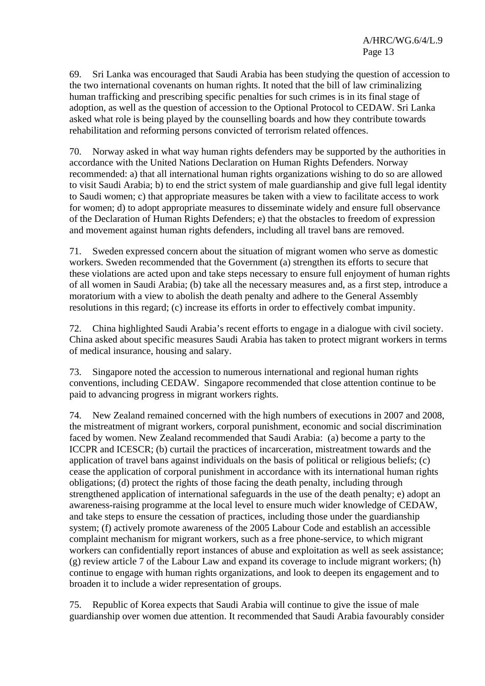69. Sri Lanka was encouraged that Saudi Arabia has been studying the question of accession to the two international covenants on human rights. It noted that the bill of law criminalizing human trafficking and prescribing specific penalties for such crimes is in its final stage of adoption, as well as the question of accession to the Optional Protocol to CEDAW. Sri Lanka asked what role is being played by the counselling boards and how they contribute towards rehabilitation and reforming persons convicted of terrorism related offences.

70. Norway asked in what way human rights defenders may be supported by the authorities in accordance with the United Nations Declaration on Human Rights Defenders. Norway recommended: a) that all international human rights organizations wishing to do so are allowed to visit Saudi Arabia; b) to end the strict system of male guardianship and give full legal identity to Saudi women; c) that appropriate measures be taken with a view to facilitate access to work for women; d) to adopt appropriate measures to disseminate widely and ensure full observance of the Declaration of Human Rights Defenders; e) that the obstacles to freedom of expression and movement against human rights defenders, including all travel bans are removed.

71. Sweden expressed concern about the situation of migrant women who serve as domestic workers. Sweden recommended that the Government (a) strengthen its efforts to secure that these violations are acted upon and take steps necessary to ensure full enjoyment of human rights of all women in Saudi Arabia; (b) take all the necessary measures and, as a first step, introduce a moratorium with a view to abolish the death penalty and adhere to the General Assembly resolutions in this regard; (c) increase its efforts in order to effectively combat impunity.

72. China highlighted Saudi Arabia's recent efforts to engage in a dialogue with civil society. China asked about specific measures Saudi Arabia has taken to protect migrant workers in terms of medical insurance, housing and salary.

73. Singapore noted the accession to numerous international and regional human rights conventions, including CEDAW. Singapore recommended that close attention continue to be paid to advancing progress in migrant workers rights.

74. New Zealand remained concerned with the high numbers of executions in 2007 and 2008, the mistreatment of migrant workers, corporal punishment, economic and social discrimination faced by women. New Zealand recommended that Saudi Arabia: (a) become a party to the ICCPR and ICESCR; (b) curtail the practices of incarceration, mistreatment towards and the application of travel bans against individuals on the basis of political or religious beliefs; (c) cease the application of corporal punishment in accordance with its international human rights obligations; (d) protect the rights of those facing the death penalty, including through strengthened application of international safeguards in the use of the death penalty; e) adopt an awareness-raising programme at the local level to ensure much wider knowledge of CEDAW, and take steps to ensure the cessation of practices, including those under the guardianship system; (f) actively promote awareness of the 2005 Labour Code and establish an accessible complaint mechanism for migrant workers, such as a free phone-service, to which migrant workers can confidentially report instances of abuse and exploitation as well as seek assistance; (g) review article 7 of the Labour Law and expand its coverage to include migrant workers; (h) continue to engage with human rights organizations, and look to deepen its engagement and to broaden it to include a wider representation of groups.

75. Republic of Korea expects that Saudi Arabia will continue to give the issue of male guardianship over women due attention. It recommended that Saudi Arabia favourably consider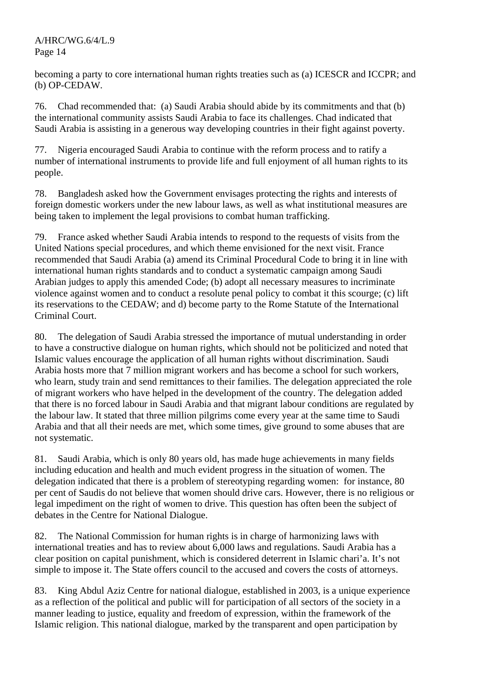becoming a party to core international human rights treaties such as (a) ICESCR and ICCPR; and (b) OP-CEDAW.

76. Chad recommended that: (a) Saudi Arabia should abide by its commitments and that (b) the international community assists Saudi Arabia to face its challenges. Chad indicated that Saudi Arabia is assisting in a generous way developing countries in their fight against poverty.

77. Nigeria encouraged Saudi Arabia to continue with the reform process and to ratify a number of international instruments to provide life and full enjoyment of all human rights to its people.

78. Bangladesh asked how the Government envisages protecting the rights and interests of foreign domestic workers under the new labour laws, as well as what institutional measures are being taken to implement the legal provisions to combat human trafficking.

79. France asked whether Saudi Arabia intends to respond to the requests of visits from the United Nations special procedures, and which theme envisioned for the next visit. France recommended that Saudi Arabia (a) amend its Criminal Procedural Code to bring it in line with international human rights standards and to conduct a systematic campaign among Saudi Arabian judges to apply this amended Code; (b) adopt all necessary measures to incriminate violence against women and to conduct a resolute penal policy to combat it this scourge; (c) lift its reservations to the CEDAW; and d) become party to the Rome Statute of the International Criminal Court.

80. The delegation of Saudi Arabia stressed the importance of mutual understanding in order to have a constructive dialogue on human rights, which should not be politicized and noted that Islamic values encourage the application of all human rights without discrimination. Saudi Arabia hosts more that 7 million migrant workers and has become a school for such workers, who learn, study train and send remittances to their families. The delegation appreciated the role of migrant workers who have helped in the development of the country. The delegation added that there is no forced labour in Saudi Arabia and that migrant labour conditions are regulated by the labour law. It stated that three million pilgrims come every year at the same time to Saudi Arabia and that all their needs are met, which some times, give ground to some abuses that are not systematic.

81. Saudi Arabia, which is only 80 years old, has made huge achievements in many fields including education and health and much evident progress in the situation of women. The delegation indicated that there is a problem of stereotyping regarding women: for instance, 80 per cent of Saudis do not believe that women should drive cars. However, there is no religious or legal impediment on the right of women to drive. This question has often been the subject of debates in the Centre for National Dialogue.

82. The National Commission for human rights is in charge of harmonizing laws with international treaties and has to review about 6,000 laws and regulations. Saudi Arabia has a clear position on capital punishment, which is considered deterrent in Islamic chari'a. It's not simple to impose it. The State offers council to the accused and covers the costs of attorneys.

83. King Abdul Aziz Centre for national dialogue, established in 2003, is a unique experience as a reflection of the political and public will for participation of all sectors of the society in a manner leading to justice, equality and freedom of expression, within the framework of the Islamic religion. This national dialogue, marked by the transparent and open participation by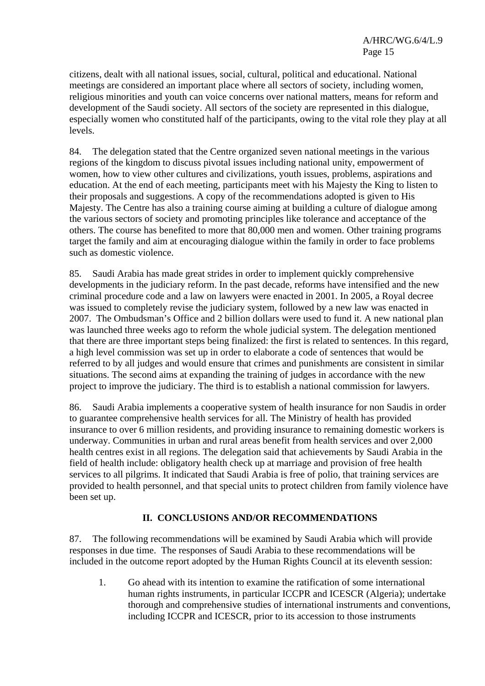citizens, dealt with all national issues, social, cultural, political and educational. National meetings are considered an important place where all sectors of society, including women, religious minorities and youth can voice concerns over national matters, means for reform and development of the Saudi society. All sectors of the society are represented in this dialogue, especially women who constituted half of the participants, owing to the vital role they play at all levels.

84. The delegation stated that the Centre organized seven national meetings in the various regions of the kingdom to discuss pivotal issues including national unity, empowerment of women, how to view other cultures and civilizations, youth issues, problems, aspirations and education. At the end of each meeting, participants meet with his Majesty the King to listen to their proposals and suggestions. A copy of the recommendations adopted is given to His Majesty. The Centre has also a training course aiming at building a culture of dialogue among the various sectors of society and promoting principles like tolerance and acceptance of the others. The course has benefited to more that 80,000 men and women. Other training programs target the family and aim at encouraging dialogue within the family in order to face problems such as domestic violence.

85. Saudi Arabia has made great strides in order to implement quickly comprehensive developments in the judiciary reform. In the past decade, reforms have intensified and the new criminal procedure code and a law on lawyers were enacted in 2001. In 2005, a Royal decree was issued to completely revise the judiciary system, followed by a new law was enacted in 2007. The Ombudsman's Office and 2 billion dollars were used to fund it. A new national plan was launched three weeks ago to reform the whole judicial system. The delegation mentioned that there are three important steps being finalized: the first is related to sentences. In this regard, a high level commission was set up in order to elaborate a code of sentences that would be referred to by all judges and would ensure that crimes and punishments are consistent in similar situations. The second aims at expanding the training of judges in accordance with the new project to improve the judiciary. The third is to establish a national commission for lawyers.

86. Saudi Arabia implements a cooperative system of health insurance for non Saudis in order to guarantee comprehensive health services for all. The Ministry of health has provided insurance to over 6 million residents, and providing insurance to remaining domestic workers is underway. Communities in urban and rural areas benefit from health services and over 2,000 health centres exist in all regions. The delegation said that achievements by Saudi Arabia in the field of health include: obligatory health check up at marriage and provision of free health services to all pilgrims. It indicated that Saudi Arabia is free of polio, that training services are provided to health personnel, and that special units to protect children from family violence have been set up.

#### **II. CONCLUSIONS AND/OR RECOMMENDATIONS**

87. The following recommendations will be examined by Saudi Arabia which will provide responses in due time. The responses of Saudi Arabia to these recommendations will be included in the outcome report adopted by the Human Rights Council at its eleventh session:

1. Go ahead with its intention to examine the ratification of some international human rights instruments, in particular ICCPR and ICESCR (Algeria); undertake thorough and comprehensive studies of international instruments and conventions, including ICCPR and ICESCR, prior to its accession to those instruments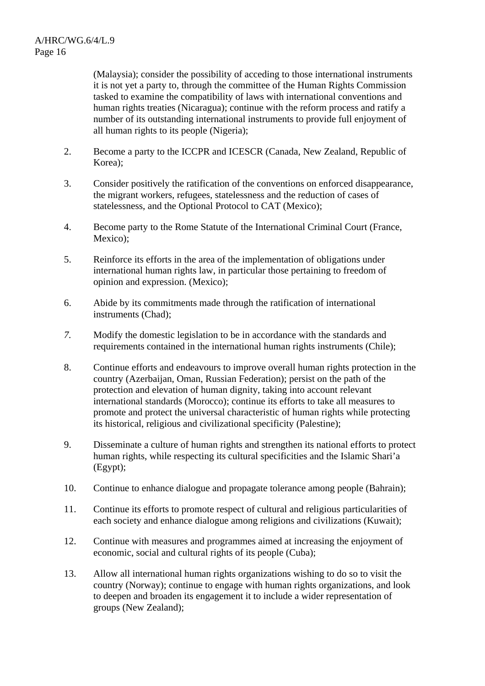(Malaysia); consider the possibility of acceding to those international instruments it is not yet a party to, through the committee of the Human Rights Commission tasked to examine the compatibility of laws with international conventions and human rights treaties (Nicaragua); continue with the reform process and ratify a number of its outstanding international instruments to provide full enjoyment of all human rights to its people (Nigeria);

- 2. Become a party to the ICCPR and ICESCR (Canada, New Zealand, Republic of Korea);
- 3. Consider positively the ratification of the conventions on enforced disappearance, the migrant workers, refugees, statelessness and the reduction of cases of statelessness, and the Optional Protocol to CAT (Mexico);
- 4. Become party to the Rome Statute of the International Criminal Court (France, Mexico);
- 5. Reinforce its efforts in the area of the implementation of obligations under international human rights law, in particular those pertaining to freedom of opinion and expression. (Mexico);
- 6. Abide by its commitments made through the ratification of international instruments (Chad);
- *7.* Modify the domestic legislation to be in accordance with the standards and requirements contained in the international human rights instruments (Chile);
- 8. Continue efforts and endeavours to improve overall human rights protection in the country (Azerbaijan, Oman, Russian Federation); persist on the path of the protection and elevation of human dignity, taking into account relevant international standards (Morocco); continue its efforts to take all measures to promote and protect the universal characteristic of human rights while protecting its historical, religious and civilizational specificity (Palestine);
- 9. Disseminate a culture of human rights and strengthen its national efforts to protect human rights, while respecting its cultural specificities and the Islamic Shari'a (Egypt);
- 10. Continue to enhance dialogue and propagate tolerance among people (Bahrain);
- 11. Continue its efforts to promote respect of cultural and religious particularities of each society and enhance dialogue among religions and civilizations (Kuwait);
- 12. Continue with measures and programmes aimed at increasing the enjoyment of economic, social and cultural rights of its people (Cuba);
- 13. Allow all international human rights organizations wishing to do so to visit the country (Norway); continue to engage with human rights organizations, and look to deepen and broaden its engagement it to include a wider representation of groups (New Zealand);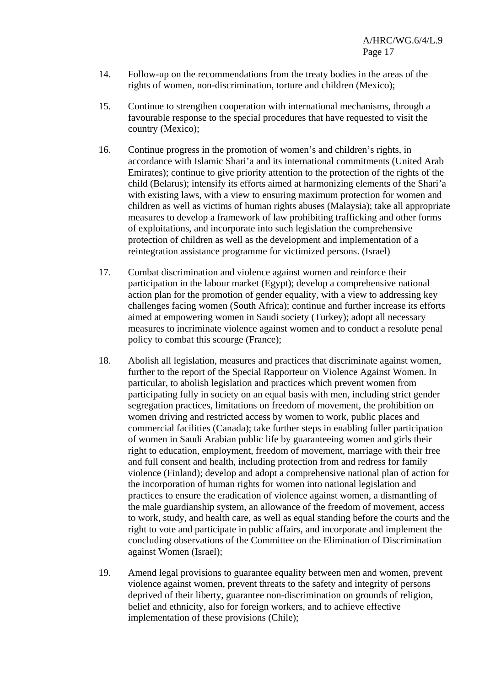- 14. Follow-up on the recommendations from the treaty bodies in the areas of the rights of women, non-discrimination, torture and children (Mexico);
- 15. Continue to strengthen cooperation with international mechanisms, through a favourable response to the special procedures that have requested to visit the country (Mexico);
- 16. Continue progress in the promotion of women's and children's rights, in accordance with Islamic Shari'a and its international commitments (United Arab Emirates); continue to give priority attention to the protection of the rights of the child (Belarus); intensify its efforts aimed at harmonizing elements of the Shari'a with existing laws, with a view to ensuring maximum protection for women and children as well as victims of human rights abuses (Malaysia); take all appropriate measures to develop a framework of law prohibiting trafficking and other forms of exploitations, and incorporate into such legislation the comprehensive protection of children as well as the development and implementation of a reintegration assistance programme for victimized persons. (Israel)
- 17. Combat discrimination and violence against women and reinforce their participation in the labour market (Egypt); develop a comprehensive national action plan for the promotion of gender equality, with a view to addressing key challenges facing women (South Africa); continue and further increase its efforts aimed at empowering women in Saudi society (Turkey); adopt all necessary measures to incriminate violence against women and to conduct a resolute penal policy to combat this scourge (France);
- 18. Abolish all legislation, measures and practices that discriminate against women, further to the report of the Special Rapporteur on Violence Against Women. In particular, to abolish legislation and practices which prevent women from participating fully in society on an equal basis with men, including strict gender segregation practices, limitations on freedom of movement, the prohibition on women driving and restricted access by women to work, public places and commercial facilities (Canada); take further steps in enabling fuller participation of women in Saudi Arabian public life by guaranteeing women and girls their right to education, employment, freedom of movement, marriage with their free and full consent and health, including protection from and redress for family violence (Finland); develop and adopt a comprehensive national plan of action for the incorporation of human rights for women into national legislation and practices to ensure the eradication of violence against women, a dismantling of the male guardianship system, an allowance of the freedom of movement, access to work, study, and health care, as well as equal standing before the courts and the right to vote and participate in public affairs, and incorporate and implement the concluding observations of the Committee on the Elimination of Discrimination against Women (Israel);
- 19. Amend legal provisions to guarantee equality between men and women, prevent violence against women, prevent threats to the safety and integrity of persons deprived of their liberty, guarantee non-discrimination on grounds of religion, belief and ethnicity, also for foreign workers, and to achieve effective implementation of these provisions (Chile);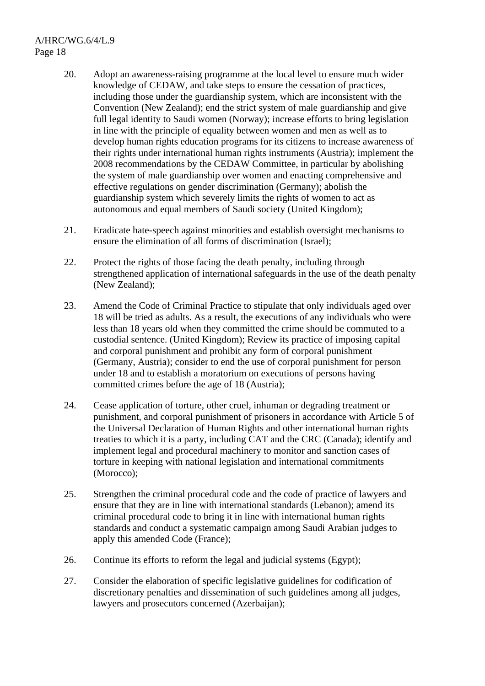- 20. Adopt an awareness-raising programme at the local level to ensure much wider knowledge of CEDAW, and take steps to ensure the cessation of practices, including those under the guardianship system, which are inconsistent with the Convention (New Zealand); end the strict system of male guardianship and give full legal identity to Saudi women (Norway); increase efforts to bring legislation in line with the principle of equality between women and men as well as to develop human rights education programs for its citizens to increase awareness of their rights under international human rights instruments (Austria); implement the 2008 recommendations by the CEDAW Committee, in particular by abolishing the system of male guardianship over women and enacting comprehensive and effective regulations on gender discrimination (Germany); abolish the guardianship system which severely limits the rights of women to act as autonomous and equal members of Saudi society (United Kingdom);
- 21. Eradicate hate-speech against minorities and establish oversight mechanisms to ensure the elimination of all forms of discrimination (Israel);
- 22. Protect the rights of those facing the death penalty, including through strengthened application of international safeguards in the use of the death penalty (New Zealand);
- 23. Amend the Code of Criminal Practice to stipulate that only individuals aged over 18 will be tried as adults. As a result, the executions of any individuals who were less than 18 years old when they committed the crime should be commuted to a custodial sentence. (United Kingdom); Review its practice of imposing capital and corporal punishment and prohibit any form of corporal punishment (Germany, Austria); consider to end the use of corporal punishment for person under 18 and to establish a moratorium on executions of persons having committed crimes before the age of 18 (Austria);
- 24. Cease application of torture, other cruel, inhuman or degrading treatment or punishment, and corporal punishment of prisoners in accordance with Article 5 of the Universal Declaration of Human Rights and other international human rights treaties to which it is a party, including CAT and the CRC (Canada); identify and implement legal and procedural machinery to monitor and sanction cases of torture in keeping with national legislation and international commitments (Morocco);
- 25. Strengthen the criminal procedural code and the code of practice of lawyers and ensure that they are in line with international standards (Lebanon); amend its criminal procedural code to bring it in line with international human rights standards and conduct a systematic campaign among Saudi Arabian judges to apply this amended Code (France);
- 26. Continue its efforts to reform the legal and judicial systems (Egypt);
- 27. Consider the elaboration of specific legislative guidelines for codification of discretionary penalties and dissemination of such guidelines among all judges, lawyers and prosecutors concerned (Azerbaijan);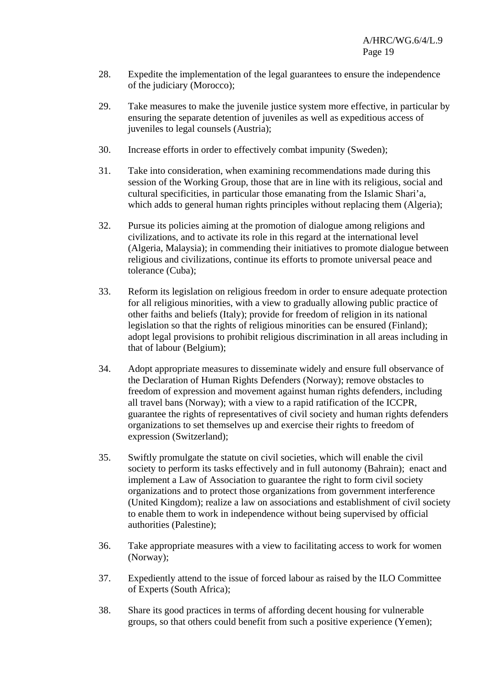- 28. Expedite the implementation of the legal guarantees to ensure the independence of the judiciary (Morocco);
- 29. Take measures to make the juvenile justice system more effective, in particular by ensuring the separate detention of juveniles as well as expeditious access of juveniles to legal counsels (Austria);
- 30. Increase efforts in order to effectively combat impunity (Sweden);
- 31. Take into consideration, when examining recommendations made during this session of the Working Group, those that are in line with its religious, social and cultural specificities, in particular those emanating from the Islamic Shari'a, which adds to general human rights principles without replacing them (Algeria);
- 32. Pursue its policies aiming at the promotion of dialogue among religions and civilizations, and to activate its role in this regard at the international level (Algeria, Malaysia); in commending their initiatives to promote dialogue between religious and civilizations, continue its efforts to promote universal peace and tolerance (Cuba);
- 33. Reform its legislation on religious freedom in order to ensure adequate protection for all religious minorities, with a view to gradually allowing public practice of other faiths and beliefs (Italy); provide for freedom of religion in its national legislation so that the rights of religious minorities can be ensured (Finland); adopt legal provisions to prohibit religious discrimination in all areas including in that of labour (Belgium);
- 34. Adopt appropriate measures to disseminate widely and ensure full observance of the Declaration of Human Rights Defenders (Norway); remove obstacles to freedom of expression and movement against human rights defenders, including all travel bans (Norway); with a view to a rapid ratification of the ICCPR, guarantee the rights of representatives of civil society and human rights defenders organizations to set themselves up and exercise their rights to freedom of expression (Switzerland);
- 35. Swiftly promulgate the statute on civil societies, which will enable the civil society to perform its tasks effectively and in full autonomy (Bahrain); enact and implement a Law of Association to guarantee the right to form civil society organizations and to protect those organizations from government interference (United Kingdom); realize a law on associations and establishment of civil society to enable them to work in independence without being supervised by official authorities (Palestine);
- 36. Take appropriate measures with a view to facilitating access to work for women (Norway);
- 37. Expediently attend to the issue of forced labour as raised by the ILO Committee of Experts (South Africa);
- 38. Share its good practices in terms of affording decent housing for vulnerable groups, so that others could benefit from such a positive experience (Yemen);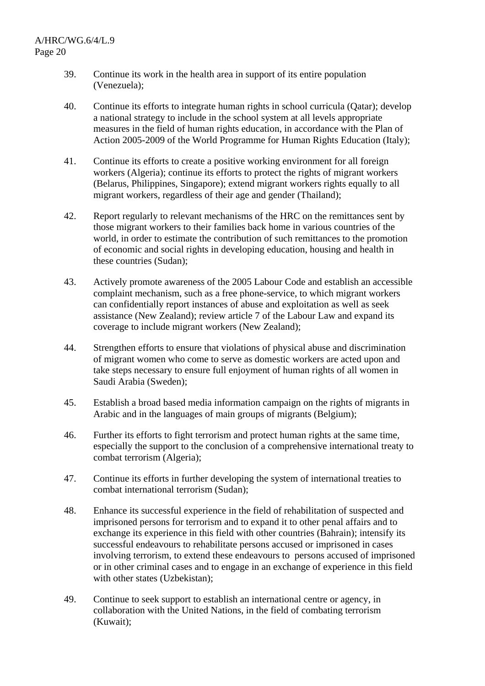- 39. Continue its work in the health area in support of its entire population (Venezuela);
- 40. Continue its efforts to integrate human rights in school curricula (Qatar); develop a national strategy to include in the school system at all levels appropriate measures in the field of human rights education, in accordance with the Plan of Action 2005-2009 of the World Programme for Human Rights Education (Italy);
- 41. Continue its efforts to create a positive working environment for all foreign workers (Algeria); continue its efforts to protect the rights of migrant workers (Belarus, Philippines, Singapore); extend migrant workers rights equally to all migrant workers, regardless of their age and gender (Thailand);
- 42. Report regularly to relevant mechanisms of the HRC on the remittances sent by those migrant workers to their families back home in various countries of the world, in order to estimate the contribution of such remittances to the promotion of economic and social rights in developing education, housing and health in these countries (Sudan);
- 43. Actively promote awareness of the 2005 Labour Code and establish an accessible complaint mechanism, such as a free phone-service, to which migrant workers can confidentially report instances of abuse and exploitation as well as seek assistance (New Zealand); review article 7 of the Labour Law and expand its coverage to include migrant workers (New Zealand);
- 44. Strengthen efforts to ensure that violations of physical abuse and discrimination of migrant women who come to serve as domestic workers are acted upon and take steps necessary to ensure full enjoyment of human rights of all women in Saudi Arabia (Sweden);
- 45. Establish a broad based media information campaign on the rights of migrants in Arabic and in the languages of main groups of migrants (Belgium);
- 46. Further its efforts to fight terrorism and protect human rights at the same time, especially the support to the conclusion of a comprehensive international treaty to combat terrorism (Algeria);
- 47. Continue its efforts in further developing the system of international treaties to combat international terrorism (Sudan);
- 48. Enhance its successful experience in the field of rehabilitation of suspected and imprisoned persons for terrorism and to expand it to other penal affairs and to exchange its experience in this field with other countries (Bahrain); intensify its successful endeavours to rehabilitate persons accused or imprisoned in cases involving terrorism, to extend these endeavours to persons accused of imprisoned or in other criminal cases and to engage in an exchange of experience in this field with other states (Uzbekistan):
- 49. Continue to seek support to establish an international centre or agency, in collaboration with the United Nations, in the field of combating terrorism (Kuwait);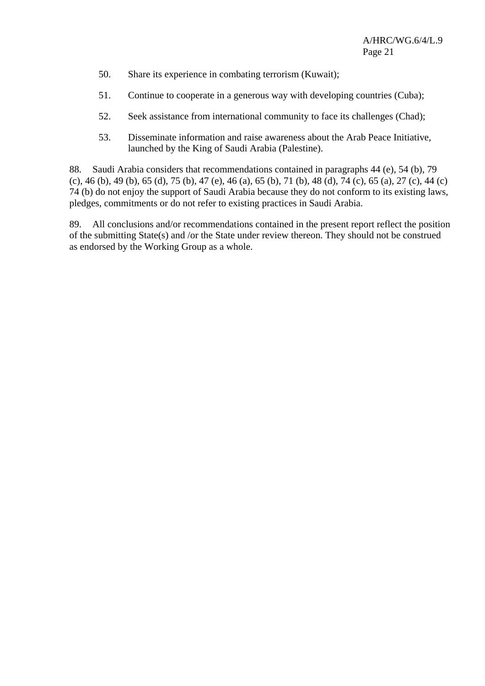- 50. Share its experience in combating terrorism (Kuwait);
- 51. Continue to cooperate in a generous way with developing countries (Cuba);
- 52. Seek assistance from international community to face its challenges (Chad);
- 53. Disseminate information and raise awareness about the Arab Peace Initiative, launched by the King of Saudi Arabia (Palestine).

88. Saudi Arabia considers that recommendations contained in paragraphs 44 (e), 54 (b), 79 (c), 46 (b), 49 (b), 65 (d), 75 (b), 47 (e), 46 (a), 65 (b), 71 (b), 48 (d), 74 (c), 65 (a), 27 (c), 44 (c) 74 (b) do not enjoy the support of Saudi Arabia because they do not conform to its existing laws, pledges, commitments or do not refer to existing practices in Saudi Arabia.

89. All conclusions and/or recommendations contained in the present report reflect the position of the submitting State(s) and /or the State under review thereon. They should not be construed as endorsed by the Working Group as a whole.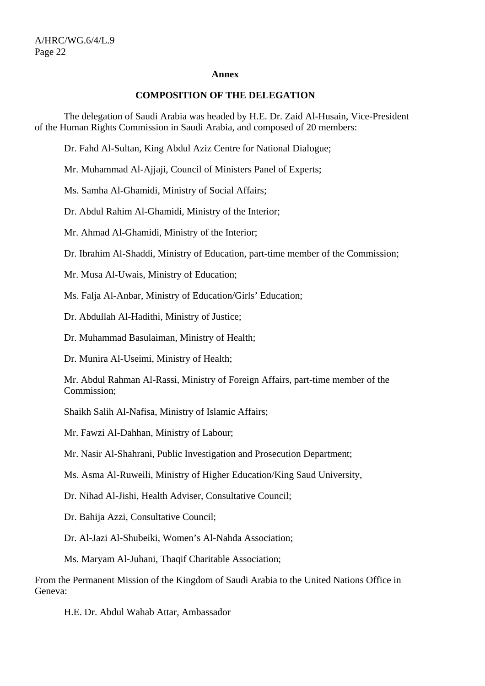#### **Annex**

#### **COMPOSITION OF THE DELEGATION**

 The delegation of Saudi Arabia was headed by H.E. Dr. Zaid Al-Husain, Vice-President of the Human Rights Commission in Saudi Arabia, and composed of 20 members:

Dr. Fahd Al-Sultan, King Abdul Aziz Centre for National Dialogue;

Mr. Muhammad Al-Ajjaji, Council of Ministers Panel of Experts;

Ms. Samha Al-Ghamidi, Ministry of Social Affairs;

Dr. Abdul Rahim Al-Ghamidi, Ministry of the Interior;

Mr. Ahmad Al-Ghamidi, Ministry of the Interior;

Dr. Ibrahim Al-Shaddi, Ministry of Education, part-time member of the Commission;

Mr. Musa Al-Uwais, Ministry of Education;

Ms. Falja Al-Anbar, Ministry of Education/Girls' Education;

Dr. Abdullah Al-Hadithi, Ministry of Justice;

Dr. Muhammad Basulaiman, Ministry of Health;

Dr. Munira Al-Useimi, Ministry of Health;

Mr. Abdul Rahman Al-Rassi, Ministry of Foreign Affairs, part-time member of the Commission;

Shaikh Salih Al-Nafisa, Ministry of Islamic Affairs;

Mr. Fawzi Al-Dahhan, Ministry of Labour;

Mr. Nasir Al-Shahrani, Public Investigation and Prosecution Department;

Ms. Asma Al-Ruweili, Ministry of Higher Education/King Saud University,

Dr. Nihad Al-Jishi, Health Adviser, Consultative Council;

Dr. Bahija Azzi, Consultative Council;

Dr. Al-Jazi Al-Shubeiki, Women's Al-Nahda Association;

Ms. Maryam Al-Juhani, Thaqif Charitable Association;

From the Permanent Mission of the Kingdom of Saudi Arabia to the United Nations Office in Geneva:

H.E. Dr. Abdul Wahab Attar, Ambassador